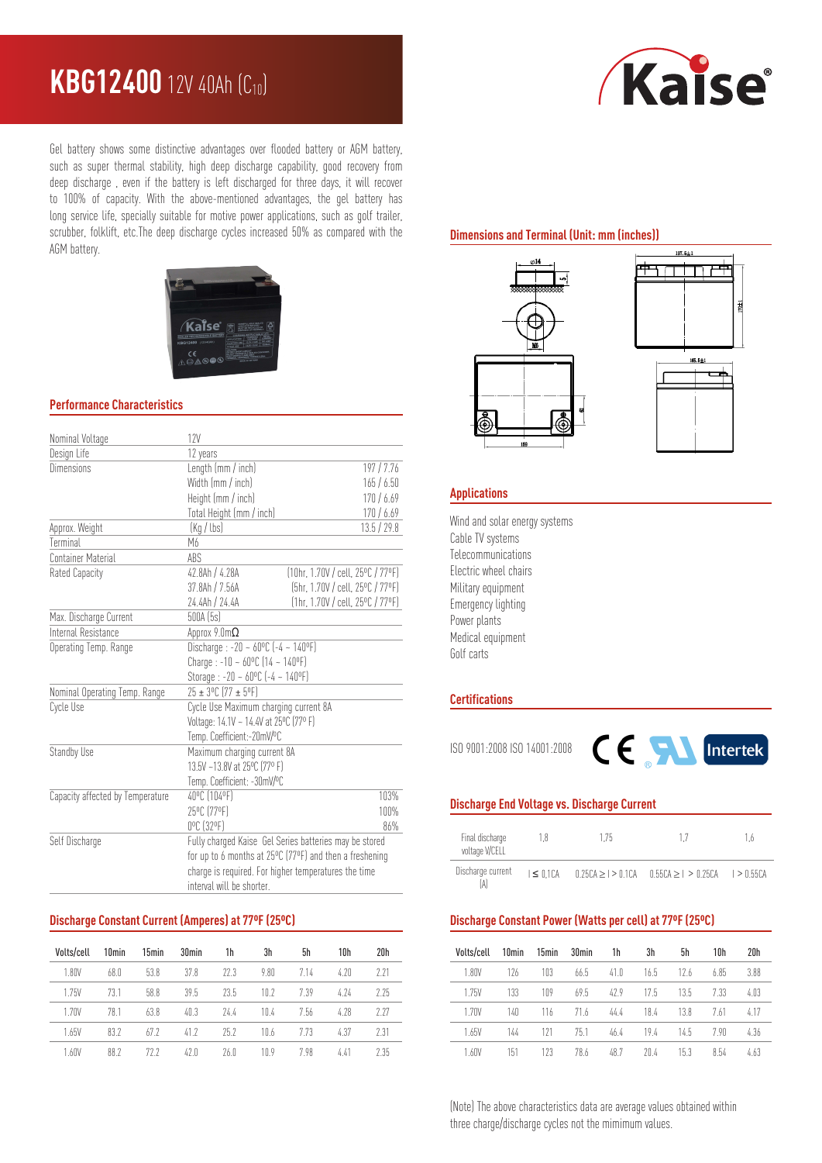# **KBG12400** 12V 40Ah (C10)



Gel battery shows some distinctive advantages over flooded battery or AGM battery, such as super thermal stability, high deep discharge capability, good recovery from deep discharge , even if the battery is left discharged for three days, it will recover to 100% of capacity. With the above-mentioned advantages, the gel battery has long service life, specially suitable for motive power applications, such as golf trailer, scrubber, folklift, etc.The deep discharge cycles increased 50% as compared with the AGM battery.



### **Performance Characteristics**

| Nominal Voltage                  | 12V                                                                                                                                             |                                   |  |  |  |
|----------------------------------|-------------------------------------------------------------------------------------------------------------------------------------------------|-----------------------------------|--|--|--|
| Design Life                      | 12 years                                                                                                                                        |                                   |  |  |  |
| Dimensions                       | Length (mm / inch)<br>197/7.76                                                                                                                  |                                   |  |  |  |
|                                  | Width (mm / inch)                                                                                                                               | 165/6.50                          |  |  |  |
|                                  | Height (mm / inch)                                                                                                                              | 170/6.69                          |  |  |  |
|                                  | Total Height (mm / inch)                                                                                                                        | 170/6.69                          |  |  |  |
| Approx. Weight                   | (Kq / lbs)<br>13.5 / 29.8                                                                                                                       |                                   |  |  |  |
| Terminal                         | M6                                                                                                                                              |                                   |  |  |  |
| <b>Container Material</b>        | ABS                                                                                                                                             |                                   |  |  |  |
| Rated Capacity                   | 42.8Ah / 4.28A                                                                                                                                  | [10hr, 1.70V / cell, 25°C / 77°F] |  |  |  |
|                                  | 37.8Ah / 7.56A                                                                                                                                  | (5hr, 1.70V / cell, 25°C / 77°F)  |  |  |  |
|                                  | 24.4Ah / 24.4A                                                                                                                                  | (1hr, 1.70V / cell, 25°C / 77°F)  |  |  |  |
| Max. Discharge Current           | 500A (5s)                                                                                                                                       |                                   |  |  |  |
| Internal Resistance              | Approx $9.0 \text{m}\Omega$                                                                                                                     |                                   |  |  |  |
| Operating Temp. Range            | Discharge: $-20 - 60^{\circ}C$ $[-4 - 140^{\circ}F]$<br>Charge: $-10 - 60^{\circ}C$ (14 ~ 140°F)<br>Storage : -20 ~ $60^{\circ}$ C (-4 ~ 140°F) |                                   |  |  |  |
|                                  |                                                                                                                                                 |                                   |  |  |  |
|                                  |                                                                                                                                                 |                                   |  |  |  |
| Nominal Operating Temp. Range    | $25 \pm 3^{\circ}$ C (77 ± 5°F)                                                                                                                 |                                   |  |  |  |
| Cycle Use                        | Cycle Use Maximum charging current 8A                                                                                                           |                                   |  |  |  |
|                                  | Voltage: 14.1V ~ 14.4V at 25°C (77° F)                                                                                                          |                                   |  |  |  |
|                                  | Temp. Coefficient:-20mV/ºC                                                                                                                      |                                   |  |  |  |
| Standby Use                      | Maximum charging current 8A                                                                                                                     |                                   |  |  |  |
|                                  | 13.5V ~13.8V at 25°C (77° F)                                                                                                                    |                                   |  |  |  |
|                                  | Temp. Coefficient: -30mV/ºC                                                                                                                     |                                   |  |  |  |
| Capacity affected by Temperature | 40°C (104°F)                                                                                                                                    | 103%                              |  |  |  |
|                                  | 25°C (77°F)                                                                                                                                     | 100%                              |  |  |  |
|                                  | 0°C (32°F)                                                                                                                                      | 86%                               |  |  |  |
| Self Discharge                   | Fully charged Kaise Gel Series batteries may be stored                                                                                          |                                   |  |  |  |
|                                  | for up to 6 months at 25°C (77°F) and then a freshening                                                                                         |                                   |  |  |  |
|                                  | charge is required. For higher temperatures the time                                                                                            |                                   |  |  |  |
|                                  | interval will be shorter.                                                                                                                       |                                   |  |  |  |

## **Discharge Constant Current (Amperes) at 77ºF (25ºC)**

| Volts/cell | 10 <sub>min</sub> | 15min | 30 <sub>min</sub> | 1h   | 3h   | 5h   | 10h  | 20h  |
|------------|-------------------|-------|-------------------|------|------|------|------|------|
| 1.80V      | 68.0              | 53.8  | 37.8              | 77.3 | 9.80 | 7.14 | 4.70 | 2 21 |
| 1.75V      | 73.1              | 58.8  | 39.5              | 735  | 10.2 | 7.39 | 4.74 | 2.25 |
| 1.70V      | 78.1              | 63.8  | 40.3              | 74.4 | 10.4 | 7.56 | 4.78 | 2.27 |
| 1.65V      | 83.2              | 67.7  | 412               | 75.7 | 10.6 | 7.73 | 4.37 | 2.31 |
| 1.60V      | 88.2              | 77 7  | 47.0              | 76.0 | 1N 9 | 798  | 4.41 | 2.35 |

# **Dimensions and Terminal (Unit: mm (inches))**





#### **Applications**

Wind and solar energy systems Cable TV systems Telecommunications Electric wheel chairs Military equipment Emergency lighting Power plants Medical equipment Golf carts

#### **Certifications**



# **Discharge End Voltage vs. Discharge Current**

| Final discharge<br>18<br>voltage V/CELL |                 | 175                |                                    | 1.6 |
|-----------------------------------------|-----------------|--------------------|------------------------------------|-----|
| Discharge current<br>[A]                | $\leq$ $0.1$ CA | 0.25CA > 1 > 0.1CA | $0.55CA > 1 > 0.25CA$ $1 > 0.55CA$ |     |

#### **Discharge Constant Power (Watts per cell) at 77ºF (25ºC)**

| Volts/cell | 10 <sub>min</sub> | 15min | 30 <sub>min</sub> | 1h   | 3h   | 5h   | 10h  | 20h  |
|------------|-------------------|-------|-------------------|------|------|------|------|------|
| 1.80V      | 126               | 103   | 66.5              | 41.0 | 16.5 | 12.6 | 6.85 | 3.88 |
| 1.75V      | 133               | 109   | 69.5              | 479  | 175  | 13.5 | 7.33 | 4.03 |
| 1.70V      | 140               | 116   | 71.6              | 44.4 | 18.4 | 13.8 | 7.61 | 4.17 |
| 1.65V      | 144               | 171   | 75.1              | 46.4 | 19.4 | 14.5 | 790  | 4.36 |
| 1.60V      | 151               | 123   | 78.6              | 48.7 | 20 4 | 15.3 | 8.54 | 4.63 |

(Note) The above characteristics data are average values obtained within three charge/discharge cycles not the mimimum values.